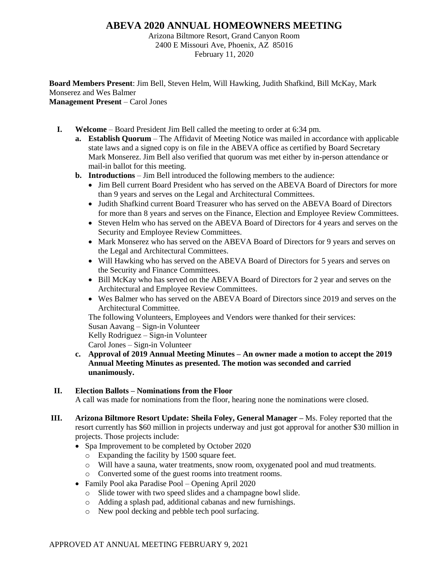## **ABEVA 2020 ANNUAL HOMEOWNERS MEETING**

Arizona Biltmore Resort, Grand Canyon Room 2400 E Missouri Ave, Phoenix, AZ 85016 February 11, 2020

**Board Members Present**: Jim Bell, Steven Helm, Will Hawking, Judith Shafkind, Bill McKay, Mark Monserez and Wes Balmer **Management Present** – Carol Jones

- **I. Welcome** Board President Jim Bell called the meeting to order at 6:34 pm.
	- **a. Establish Quorum** The Affidavit of Meeting Notice was mailed in accordance with applicable state laws and a signed copy is on file in the ABEVA office as certified by Board Secretary Mark Monserez. Jim Bell also verified that quorum was met either by in-person attendance or mail-in ballot for this meeting.
	- **b. Introductions**  Jim Bell introduced the following members to the audience:
		- Jim Bell current Board President who has served on the ABEVA Board of Directors for more than 9 years and serves on the Legal and Architectural Committees.
		- Judith Shafkind current Board Treasurer who has served on the ABEVA Board of Directors for more than 8 years and serves on the Finance, Election and Employee Review Committees.
		- Steven Helm who has served on the ABEVA Board of Directors for 4 years and serves on the Security and Employee Review Committees.
		- Mark Monserez who has served on the ABEVA Board of Directors for 9 years and serves on the Legal and Architectural Committees.
		- Will Hawking who has served on the ABEVA Board of Directors for 5 years and serves on the Security and Finance Committees.
		- Bill McKay who has served on the ABEVA Board of Directors for 2 year and serves on the Architectural and Employee Review Committees.
		- Wes Balmer who has served on the ABEVA Board of Directors since 2019 and serves on the Architectural Committee.

The following Volunteers, Employees and Vendors were thanked for their services:

Susan Aavang – Sign-in Volunteer

Kelly Rodriguez – Sign-in Volunteer

Carol Jones – Sign-in Volunteer

**c. Approval of 2019 Annual Meeting Minutes – An owner made a motion to accept the 2019 Annual Meeting Minutes as presented. The motion was seconded and carried unanimously.**

## **II. Election Ballots – Nominations from the Floor**

A call was made for nominations from the floor, hearing none the nominations were closed.

- **III. Arizona Biltmore Resort Update: Sheila Foley, General Manager –** Ms. Foley reported that the resort currently has \$60 million in projects underway and just got approval for another \$30 million in projects. Those projects include:
	- Spa Improvement to be completed by October 2020
		- o Expanding the facility by 1500 square feet.
		- o Will have a sauna, water treatments, snow room, oxygenated pool and mud treatments.
		- o Converted some of the guest rooms into treatment rooms.
	- Family Pool aka Paradise Pool Opening April 2020
		- o Slide tower with two speed slides and a champagne bowl slide.
		- o Adding a splash pad, additional cabanas and new furnishings.
		- o New pool decking and pebble tech pool surfacing.